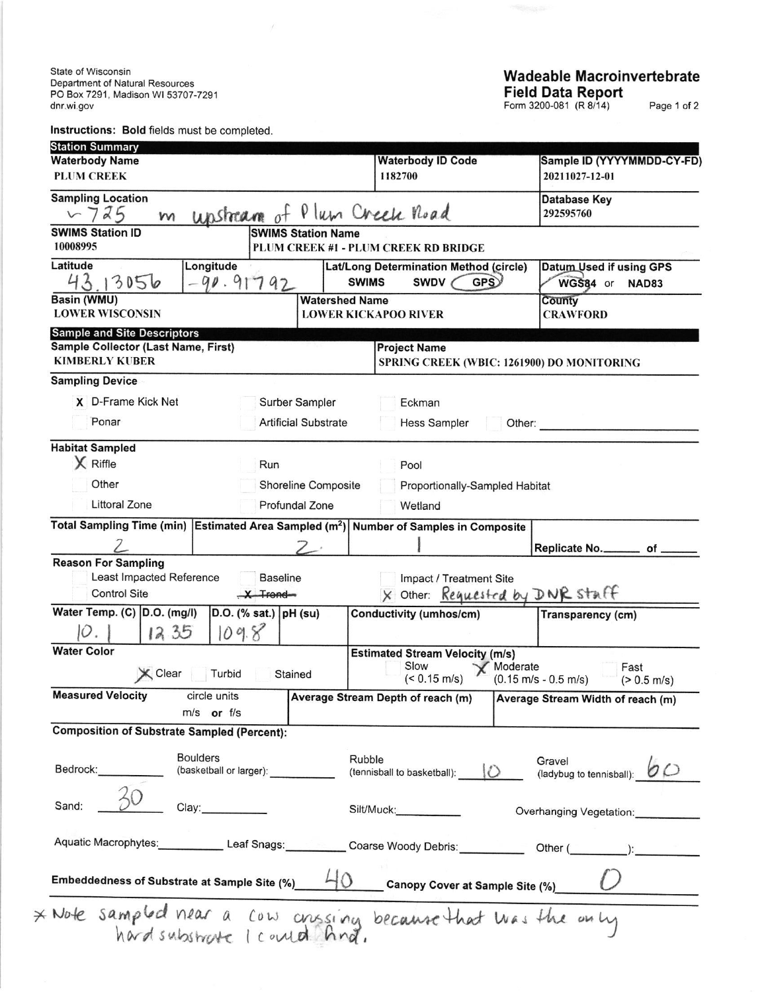State of Wisconsin Depadment of Natural Resources PO Box 7291. Madison Wl53707-7291 dnr.wi gov

lnstructions: Bold fields must be completed

 $\mathcal{S}$ 

## Wadeable Macroinvertebrate Field Data Report

Form 3200-081 (R 8/14) Page 1 of 2

| <b>Station Summary</b>                                                                     |                                |                                                                              |                                                                                                                                |  |  |  |
|--------------------------------------------------------------------------------------------|--------------------------------|------------------------------------------------------------------------------|--------------------------------------------------------------------------------------------------------------------------------|--|--|--|
| <b>Waterbody Name</b>                                                                      |                                | <b>Waterbody ID Code</b>                                                     | Sample ID (YYYYMMDD-CY-FD)                                                                                                     |  |  |  |
| <b>PLUM CREEK</b>                                                                          |                                | 1182700                                                                      | 20211027-12-01                                                                                                                 |  |  |  |
| <b>Sampling Location</b>                                                                   |                                |                                                                              | <b>Database Key</b>                                                                                                            |  |  |  |
| 5725<br>M                                                                                  | unstream of                    | Plum Creek Road                                                              | 292595760                                                                                                                      |  |  |  |
| <b>SWIMS Station ID</b><br>10008995                                                        | <b>SWIMS Station Name</b>      | PLUM CREEK #1 - PLUM CREEK RD BRIDGE                                         |                                                                                                                                |  |  |  |
| Latitude<br>Longitude<br>43<br>13056<br>90.91792                                           |                                | Lat/Long Determination Method (circle)<br><b>GPS</b><br><b>SWIMS</b><br>SWDV | Datum Used if using GPS<br>WGS84 or<br><b>NAD83</b>                                                                            |  |  |  |
| <b>Basin (WMU)</b>                                                                         | <b>Watershed Name</b>          |                                                                              | County                                                                                                                         |  |  |  |
| <b>LOWER WISCONSIN</b>                                                                     | <b>LOWER KICKAPOO RIVER</b>    |                                                                              | <b>CRAWFORD</b>                                                                                                                |  |  |  |
| <b>Sample and Site Descriptors</b>                                                         |                                |                                                                              |                                                                                                                                |  |  |  |
| Sample Collector (Last Name, First)                                                        |                                | <b>Project Name</b>                                                          |                                                                                                                                |  |  |  |
| <b>KIMBERLY KUBER</b>                                                                      |                                |                                                                              | SPRING CREEK (WBIC: 1261900) DO MONITORING                                                                                     |  |  |  |
| <b>Sampling Device</b>                                                                     |                                |                                                                              |                                                                                                                                |  |  |  |
| X D-Frame Kick Net                                                                         | Surber Sampler                 | Eckman                                                                       |                                                                                                                                |  |  |  |
| Ponar                                                                                      | <b>Artificial Substrate</b>    |                                                                              | Hess Sampler<br>Other: and the contract of the contract of the contract of the contract of the contract of the contract of the |  |  |  |
| <b>Habitat Sampled</b>                                                                     |                                |                                                                              |                                                                                                                                |  |  |  |
| X Riffle                                                                                   | Run                            | Pool                                                                         |                                                                                                                                |  |  |  |
| Other                                                                                      | <b>Shoreline Composite</b>     | Proportionally-Sampled Habitat                                               |                                                                                                                                |  |  |  |
| <b>Littoral Zone</b>                                                                       | Profundal Zone                 | Wetland                                                                      |                                                                                                                                |  |  |  |
| <b>Total Sampling Time (min)</b>                                                           |                                | Estimated Area Sampled $(m^2)$ Number of Samples in Composite                |                                                                                                                                |  |  |  |
|                                                                                            |                                |                                                                              |                                                                                                                                |  |  |  |
| <b>Reason For Sampling</b>                                                                 |                                |                                                                              | Replicate No. _________ of __                                                                                                  |  |  |  |
| Least Impacted Reference                                                                   | <b>Baseline</b>                | Impact / Treatment Site                                                      |                                                                                                                                |  |  |  |
| Control Site                                                                               | $X$ Trend                      |                                                                              | X Other: Requested by DNR staff                                                                                                |  |  |  |
| Water Temp. (C) D.O. (mg/l)                                                                | D.O. (% sat.) pH (su)          | Conductivity (umhos/cm)                                                      | Transparency (cm)                                                                                                              |  |  |  |
| 12.35<br>O                                                                                 | 109.8                          |                                                                              |                                                                                                                                |  |  |  |
| <b>Water Color</b>                                                                         |                                | <b>Estimated Stream Velocity (m/s)</b>                                       |                                                                                                                                |  |  |  |
| X Clear                                                                                    | Turbid<br>Stained              | Slow<br>$(< 0.15$ m/s)                                                       | $\chi$ Moderate<br>Fast<br>$(0.15 \text{ m/s} - 0.5 \text{ m/s})$<br>$(> 0.5 \text{ m/s})$                                     |  |  |  |
| <b>Measured Velocity</b>                                                                   | circle units<br>$m/s$ or $f/s$ |                                                                              | Average Stream Depth of reach (m) Average Stream Width of reach (m)                                                            |  |  |  |
| <b>Composition of Substrate Sampled (Percent):</b>                                         |                                |                                                                              |                                                                                                                                |  |  |  |
| <b>Boulders</b><br>Bedrock: <b>Example</b><br>(basketball or larger):                      |                                | Rubble<br>(tennisball to basketball):                                        | Gravel<br>Gravel<br>(ladybug to tennisball): $\bullet \circ$                                                                   |  |  |  |
| Sand:<br>Clay:                                                                             |                                | Silt/Muck: Silt/Muck:                                                        | Overhanging Vegetation:                                                                                                        |  |  |  |
|                                                                                            |                                |                                                                              | Aquatic Macrophytes: Leaf Snags: Coarse Woody Debris: Other (Community Content):                                               |  |  |  |
| Embeddedness of Substrate at Sample Site (%) $\frac{L}{D}$ Canopy Cover at Sample Site (%) |                                |                                                                              |                                                                                                                                |  |  |  |
| * Note sampled near a cow crissing because that was the only                               |                                |                                                                              |                                                                                                                                |  |  |  |